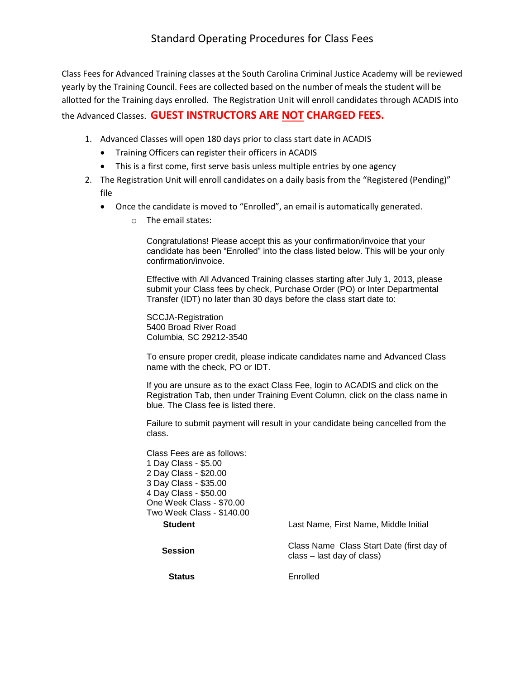Class Fees for Advanced Training classes at the South Carolina Criminal Justice Academy will be reviewed yearly by the Training Council. Fees are collected based on the number of meals the student will be allotted for the Training days enrolled. The Registration Unit will enroll candidates through ACADIS into the Advanced Classes. **GUEST INSTRUCTORS ARE NOT CHARGED FEES.**

- 1. Advanced Classes will open 180 days prior to class start date in ACADIS
	- Training Officers can register their officers in ACADIS
	- This is a first come, first serve basis unless multiple entries by one agency
- 2. The Registration Unit will enroll candidates on a daily basis from the "Registered (Pending)" file
	- Once the candidate is moved to "Enrolled", an email is automatically generated.
		- o The email states:

Congratulations! Please accept this as your confirmation/invoice that your candidate has been "Enrolled" into the class listed below. This will be your only confirmation/invoice.

Effective with All Advanced Training classes starting after July 1, 2013, please submit your Class fees by check, Purchase Order (PO) or Inter Departmental Transfer (IDT) no later than 30 days before the class start date to:

SCCJA-Registration 5400 Broad River Road Columbia, SC 29212-3540

To ensure proper credit, please indicate candidates name and Advanced Class name with the check, PO or IDT.

If you are unsure as to the exact Class Fee, login to ACADIS and click on the Registration Tab, then under Training Event Column, click on the class name in blue. The Class fee is listed there.

Failure to submit payment will result in your candidate being cancelled from the class.

| Class Fees are as follows: |                                                                         |
|----------------------------|-------------------------------------------------------------------------|
| 1 Day Class - \$5.00       |                                                                         |
| 2 Day Class - \$20.00      |                                                                         |
| 3 Day Class - \$35.00      |                                                                         |
| 4 Day Class - \$50.00      |                                                                         |
| One Week Class - \$70.00   |                                                                         |
| Two Week Class - \$140.00  |                                                                         |
| <b>Student</b>             | Last Name. First Name. Middle Initial                                   |
| Session                    | Class Name Class Start Date (first day of<br>class – last day of class) |
| <b>Status</b>              | Enrolled                                                                |